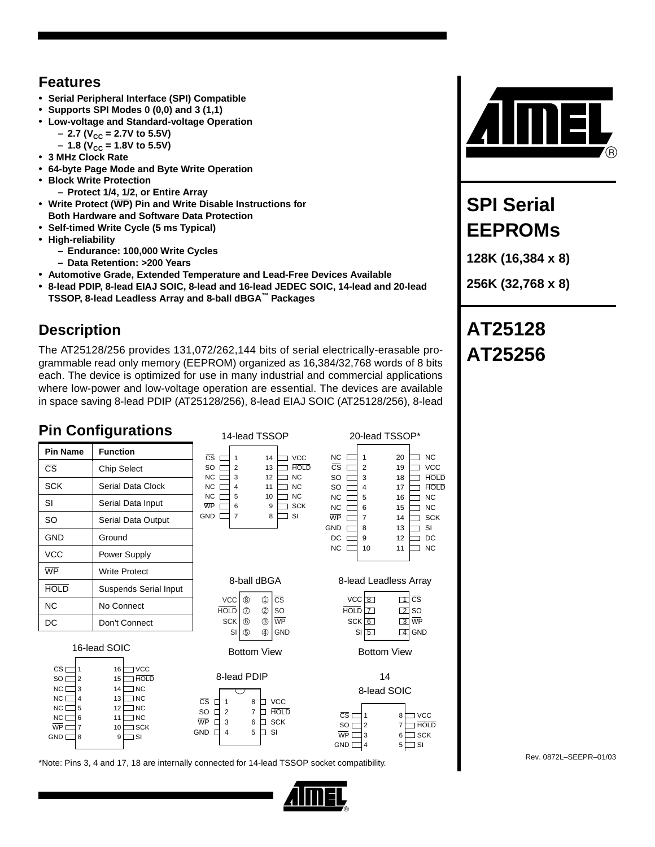### **Features**

- **Serial Peripheral Interface (SPI) Compatible**
- **Supports SPI Modes 0 (0,0) and 3 (1,1)**
- **Low-voltage and Standard-voltage Operation**
- $-$  2.7 (V<sub>CC</sub> = 2.7V to 5.5V)
	- $-1.8$  (V<sub>CC</sub> = 1.8V to 5.5V)
- **3 MHz Clock Rate**
- **64-byte Page Mode and Byte Write Operation**
- **Block Write Protection**
- **Protect 1/4, 1/2, or Entire Array**
- **Write Protect (WP) Pin and Write Disable Instructions for**
- **Both Hardware and Software Data Protection**
- **Self-timed Write Cycle (5 ms Typical)**
- **High-reliability**
	- **Endurance: 100,000 Write Cycles**
	- **Data Retention: >200 Years**
- **Automotive Grade, Extended Temperature and Lead-Free Devices Available**
- **8-lead PDIP, 8-lead EIAJ SOIC, 8-lead and 16-lead JEDEC SOIC, 14-lead and 20-lead TSSOP, 8-lead Leadless Array and 8-ball dBGA™ Packages**

# **Description**

The AT25128/256 provides 131,072/262,144 bits of serial electrically-erasable programmable read only memory (EEPROM) organized as 16,384/32,768 words of 8 bits each. The device is optimized for use in many industrial and commercial applications where low-power and low-voltage operation are essential. The devices are available in space saving 8-lead PDIP (AT25128/256), 8-lead EIAJ SOIC (AT25128/256), 8-lead

# **Pin Configurations**



Rev. 0872L–SEEPR–01/03 \*Note: Pins 3, 4 and 17, 18 are internally connected for 14-lead TSSOP socket compatibility.



# **SPI Serial EEPROMs**

**128K (16,384 x 8)**

**256K (32,768 x 8)**

# **AT25128 AT25256**

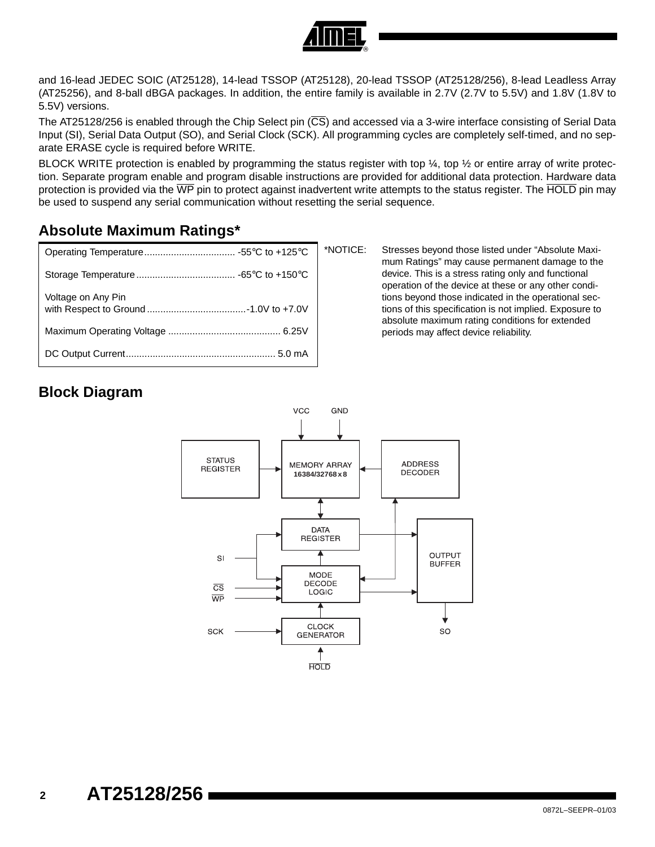

and 16-lead JEDEC SOIC (AT25128), 14-lead TSSOP (AT25128), 20-lead TSSOP (AT25128/256), 8-lead Leadless Array (AT25256), and 8-ball dBGA packages. In addition, the entire family is available in 2.7V (2.7V to 5.5V) and 1.8V (1.8V to 5.5V) versions.

The AT25128/256 is enabled through the Chip Select pin (CS) and accessed via a 3-wire interface consisting of Serial Data Input (SI), Serial Data Output (SO), and Serial Clock (SCK). All programming cycles are completely self-timed, and no separate ERASE cycle is required before WRITE.

BLOCK WRITE protection is enabled by programming the status register with top  $\frac{1}{4}$ , top  $\frac{1}{2}$  or entire array of write protection. Separate program enable and program disable instructions are provided for additional data protection. Hardware data protection is provided via the  $\overline{WP}$  pin to protect against inadvertent write attempts to the status register. The  $\overline{HOLD}$  pin may be used to suspend any serial communication without resetting the serial sequence.

# **Absolute Maximum Ratings\***

|                    | $\star$ |
|--------------------|---------|
|                    |         |
| Voltage on Any Pin |         |
|                    |         |
|                    |         |

NOTICE: Stresses beyond those listed under "Absolute Maximum Ratings" may cause permanent damage to the device. This is a stress rating only and functional operation of the device at these or any other conditions beyond those indicated in the operational sections of this specification is not implied. Exposure to absolute maximum rating conditions for extended periods may affect device reliability.

# **Block Diagram**

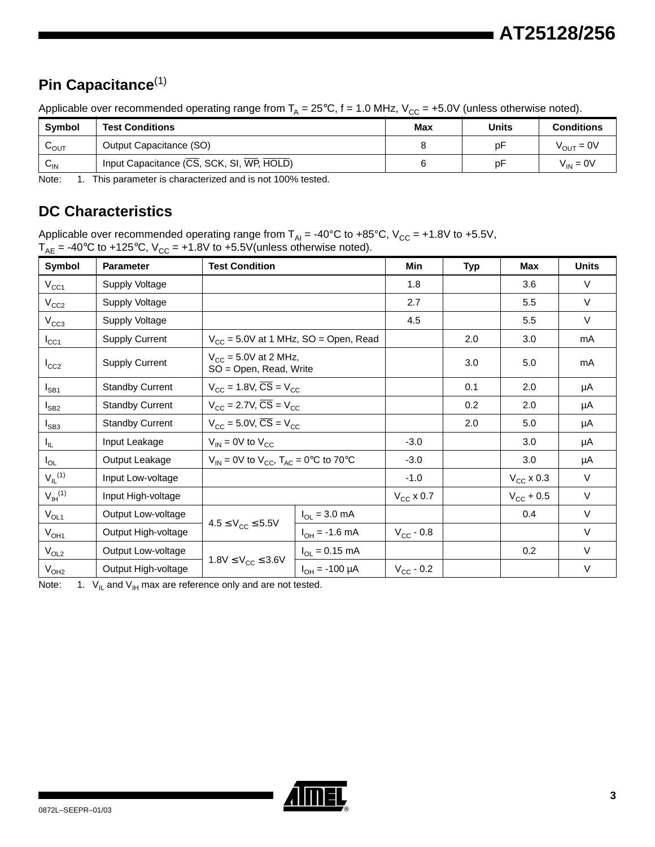# **Pin Capacitance**[\(1\)](#page-2-1)

Applicable over recommended operating range from  $T_A = 25^{\circ}C$ , f = 1.0 MHz,  $V_{CC} = +5.0V$  (unless otherwise noted).

| Svmbol                     | <b>Test Conditions</b>                    | <b>Max</b> | <b>Units</b> | <b>Conditions</b>     |
|----------------------------|-------------------------------------------|------------|--------------|-----------------------|
| $\mathsf{v}_\mathsf{OUT}$  | Output Capacitance (SO)                   |            | рF           | $V_{\text{OUT}} = 0V$ |
| $\mathsf{v}_{\mathsf{IN}}$ | Input Capacitance (CS, SCK, SI, WP, HOLD) |            | рF           | $V_{IN} = 0V$         |

<span id="page-2-1"></span>Note: 1. This parameter is characterized and is not 100% tested.

# **DC Characteristics**

Applicable over recommended operating range from  $T_{\text{Al}}$  = -40°C to +85°C, V<sub>CC</sub> = +1.8V to +5.5V,  $T_{AE}$  = -40°C to +125°C, V $_{CC}$  = +1.8V to +5.5V(unless otherwise noted).

| Symbol                  | <b>Parameter</b>       | <b>Test Condition</b>                                      |                                                    | Min                | Typ | <b>Max</b>         | <b>Units</b> |
|-------------------------|------------------------|------------------------------------------------------------|----------------------------------------------------|--------------------|-----|--------------------|--------------|
| $V_{CC1}$               | Supply Voltage         |                                                            | 1.8                                                |                    | 3.6 | $\vee$             |              |
| $V_{CC2}$               | Supply Voltage         |                                                            |                                                    | 2.7                |     | 5.5                | $\vee$       |
| $V_{CC3}$               | Supply Voltage         |                                                            |                                                    | 4.5                |     | 5.5                | $\vee$       |
| $I_{\rm CC1}$           | <b>Supply Current</b>  |                                                            | $V_{CC}$ = 5.0V at 1 MHz, SO = Open, Read          |                    | 2.0 | 3.0                | mA           |
| $I_{CC2}$               | <b>Supply Current</b>  | $V_{\text{CC}}$ = 5.0V at 2 MHz,<br>SO = Open, Read, Write |                                                    |                    | 3.0 | 5.0                | mA           |
| $I_{SB1}$               | <b>Standby Current</b> | $V_{CC}$ = 1.8V, $\overline{\text{CS}}$ = V <sub>CC</sub>  |                                                    |                    | 0.1 | 2.0                | μA           |
| $I_{SB2}$               | <b>Standby Current</b> | $V_{CC}$ = 2.7V, $\overline{CS}$ = $V_{CC}$                |                                                    |                    | 0.2 | 2.0                | μA           |
| $I_{SB3}$               | <b>Standby Current</b> |                                                            | $V_{CC}$ = 5.0V, $\overline{\text{CS}}$ = $V_{CC}$ |                    | 2.0 | 5.0                | μA           |
| I <sub>IL</sub>         | Input Leakage          | $V_{IN}$ = 0V to $V_{CC}$                                  |                                                    |                    |     | 3.0                | μA           |
| $I_{OL}$                | Output Leakage         | $V_{IN}$ = 0V to $V_{CC}$ , $T_{AC}$ = 0°C to 70°C         |                                                    | $-3.0$             |     | 3.0                | μA           |
| $V_{IL}$ <sup>(1)</sup> | Input Low-voltage      |                                                            |                                                    | $-1.0$             |     | $V_{CC}$ x 0.3     | V            |
| $V_{\text{IH}}^{(1)}$   | Input High-voltage     |                                                            |                                                    | $V_{CC}$ x 0.7     |     | $V_{\rm CC}$ + 0.5 | $\vee$       |
| $V_{OL1}$               | Output Low-voltage     |                                                            | $I_{OL} = 3.0$ mA                                  |                    |     | 0.4                | $\vee$       |
| $V_{OH1}$               | Output High-voltage    | $4.5 \le V_{CC} \le 5.5V$                                  | $I_{OH} = -1.6$ mA                                 | $V_{\rm CC}$ - 0.8 |     |                    | $\vee$       |
| $V_{OL2}$               | Output Low-voltage     |                                                            | $I_{OL} = 0.15$ mA                                 |                    |     | 0.2                | V            |
| $V_{OH2}$               | Output High-voltage    | $1.8V \le V_{CC} \le 3.6V$                                 | $I_{OH} = -100 \mu A$                              | $V_{CC}$ - 0.2     |     |                    | $\vee$       |

<span id="page-2-0"></span>Note: 1.  $V_{\text{IL}}$  and  $V_{\text{IH}}$  max are reference only and are not tested.

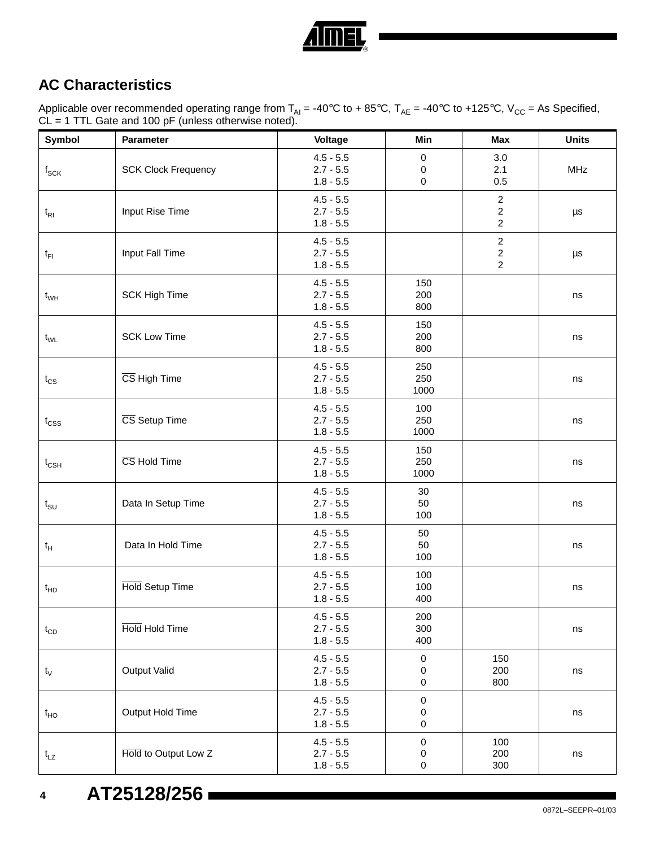

# **AC Characteristics**

Applicable over recommended operating range from T<sub>AI</sub> = -40°C to + 85°C, T<sub>AE</sub> = -40°C to +125°C, V<sub>CC</sub> = As Specified,  $CL = 1$  TTL Gate and 100 pF (unless otherwise noted).

| Symbol             | Parameter                  | Voltage                                   | Min                                     | <b>Max</b>                                         | <b>Units</b> |
|--------------------|----------------------------|-------------------------------------------|-----------------------------------------|----------------------------------------------------|--------------|
| $f_{\mathsf{SCK}}$ | <b>SCK Clock Frequency</b> | $4.5 - 5.5$<br>$2.7 - 5.5$<br>$1.8 - 5.5$ | $\pmb{0}$<br>$\mathbf 0$<br>$\mathbf 0$ | 3.0<br>2.1<br>0.5                                  | <b>MHz</b>   |
| $t_{\rm RI}$       | Input Rise Time            | $4.5 - 5.5$<br>$2.7 - 5.5$<br>$1.8 - 5.5$ |                                         | $\overline{c}$<br>$\overline{c}$<br>$\overline{c}$ | μs           |
| $t_{FI}$           | Input Fall Time            | $4.5 - 5.5$<br>$2.7 - 5.5$<br>$1.8 - 5.5$ |                                         | $\overline{a}$<br>$\overline{a}$<br>$\overline{c}$ | μs           |
| $t_{WH}$           | <b>SCK High Time</b>       | $4.5 - 5.5$<br>$2.7 - 5.5$<br>$1.8 - 5.5$ | 150<br>200<br>800                       |                                                    | ns           |
| $t_{WL}$           | <b>SCK Low Time</b>        | $4.5 - 5.5$<br>$2.7 - 5.5$<br>$1.8 - 5.5$ | 150<br>200<br>800                       |                                                    | ns           |
| $t_{CS}$           | CS High Time               | $4.5 - 5.5$<br>$2.7 - 5.5$<br>$1.8 - 5.5$ | 250<br>250<br>1000                      |                                                    | ns           |
| $t_{\text{CSS}}$   | CS Setup Time              | $4.5 - 5.5$<br>$2.7 - 5.5$<br>$1.8 - 5.5$ | 100<br>250<br>1000                      |                                                    | ns           |
| $t_{\text{CSH}}$   | CS Hold Time               | $4.5 - 5.5$<br>$2.7 - 5.5$<br>$1.8 - 5.5$ | 150<br>250<br>1000                      |                                                    | ns           |
| $t_{\text{SU}}$    | Data In Setup Time         | $4.5 - 5.5$<br>$2.7 - 5.5$<br>$1.8 - 5.5$ | 30<br>50<br>100                         |                                                    | ns           |
| $t_H$              | Data In Hold Time          | $4.5 - 5.5$<br>$2.7 - 5.5$<br>$1.8 - 5.5$ | 50<br>50<br>100                         |                                                    | ns           |
| $t_{HD}$           | Hold Setup Time            | $4.5 - 5.5$<br>$2.7 - 5.5$<br>$1.8 - 5.5$ | 100<br>100<br>400                       |                                                    | ns           |
| $t_{CD}$           | Hold Hold Time             | $4.5 - 5.5$<br>$2.7 - 5.5$<br>$1.8 - 5.5$ | 200<br>300<br>400                       |                                                    | ns           |
| $t_{\rm V}$        | <b>Output Valid</b>        | $4.5 - 5.5$<br>$2.7 - 5.5$<br>$1.8 - 5.5$ | $\pmb{0}$<br>0<br>0                     | 150<br>200<br>800                                  | ns           |
| $t_{HO}$           | Output Hold Time           | $4.5 - 5.5$<br>$2.7 - 5.5$<br>$1.8 - 5.5$ | $\pmb{0}$<br>0<br>0                     |                                                    | ns           |
| $t_{LZ}$           | Hold to Output Low Z       | $4.5 - 5.5$<br>$2.7 - 5.5$<br>$1.8 - 5.5$ | $\pmb{0}$<br>0<br>0                     | 100<br>200<br>300                                  | $\sf{ns}$    |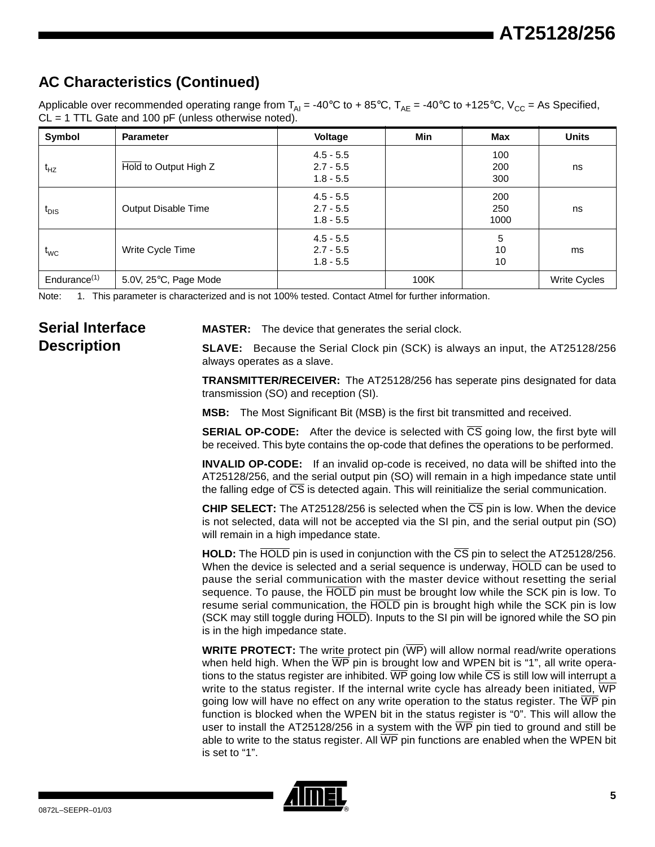# **AC Characteristics (Continued)**

Applicable over recommended operating range from  $T_{Al} = -40^{\circ}C$  to +85°C,  $T_{AE} = -40^{\circ}C$  to +125°C,  $V_{CC} = As$  Specified,  $CL = 1$  TTL Gate and 100 pF (unless otherwise noted).

| Symbol                   | <b>Parameter</b>      | <b>Voltage</b>                            | <b>Min</b> | Max                | <b>Units</b>        |
|--------------------------|-----------------------|-------------------------------------------|------------|--------------------|---------------------|
| $t_{HZ}$                 | Hold to Output High Z | $4.5 - 5.5$<br>$2.7 - 5.5$<br>$1.8 - 5.5$ |            | 100<br>200<br>300  | ns                  |
| $t_{\text{DIS}}$         | Output Disable Time   | $4.5 - 5.5$<br>$2.7 - 5.5$<br>$1.8 - 5.5$ |            | 200<br>250<br>1000 | ns                  |
| $t_{WC}$                 | Write Cycle Time      | $4.5 - 5.5$<br>$2.7 - 5.5$<br>$1.8 - 5.5$ |            | 5<br>10<br>10      | ms                  |
| Endurance <sup>(1)</sup> | 5.0V, 25°C, Page Mode |                                           | 100K       |                    | <b>Write Cycles</b> |

<span id="page-4-0"></span>Note: 1. This parameter is characterized and is not 100% tested. Contact Atmel for further information.

### **Serial Interface Description**

**MASTER:** The device that generates the serial clock.

**SLAVE:** Because the Serial Clock pin (SCK) is always an input, the AT25128/256 always operates as a slave.

**TRANSMITTER/RECEIVER:** The AT25128/256 has seperate pins designated for data transmission (SO) and reception (SI).

**MSB:** The Most Significant Bit (MSB) is the first bit transmitted and received.

**SERIAL OP-CODE:** After the device is selected with CS going low, the first byte will be received. This byte contains the op-code that defines the operations to be performed.

**INVALID OP-CODE:** If an invalid op-code is received, no data will be shifted into the AT25128/256, and the serial output pin (SO) will remain in a high impedance state until the falling edge of CS is detected again. This will reinitialize the serial communication.

**CHIP SELECT:** The AT25128/256 is selected when the CS pin is low. When the device is not selected, data will not be accepted via the SI pin, and the serial output pin (SO) will remain in a high impedance state.

**HOLD:** The HOLD pin is used in conjunction with the CS pin to select the AT25128/256. When the device is selected and a serial sequence is underway, HOLD can be used to pause the serial communication with the master device without resetting the serial sequence. To pause, the HOLD pin must be brought low while the SCK pin is low. To resume serial communication, the HOLD pin is brought high while the SCK pin is low (SCK may still toggle during HOLD). Inputs to the SI pin will be ignored while the SO pin is in the high impedance state.

**WRITE PROTECT:** The write protect pin ( $\overline{WP}$ ) will allow normal read/write operations when held high. When the  $\overline{WP}$  pin is brought low and WPEN bit is "1", all write operations to the status register are inhibited.  $\overline{WP}$  going low while  $\overline{CS}$  is still low will interrupt a write to the status register. If the internal write cycle has already been initiated,  $\overline{WP}$ going low will have no effect on any write operation to the status register. The  $\overline{WP}$  pin function is blocked when the WPEN bit in the status register is "0". This will allow the user to install the AT25128/256 in a system with the  $\overline{\text{WP}}$  pin tied to ground and still be able to write to the status register. All  $\overline{WP}$  pin functions are enabled when the WPEN bit is set to "1".

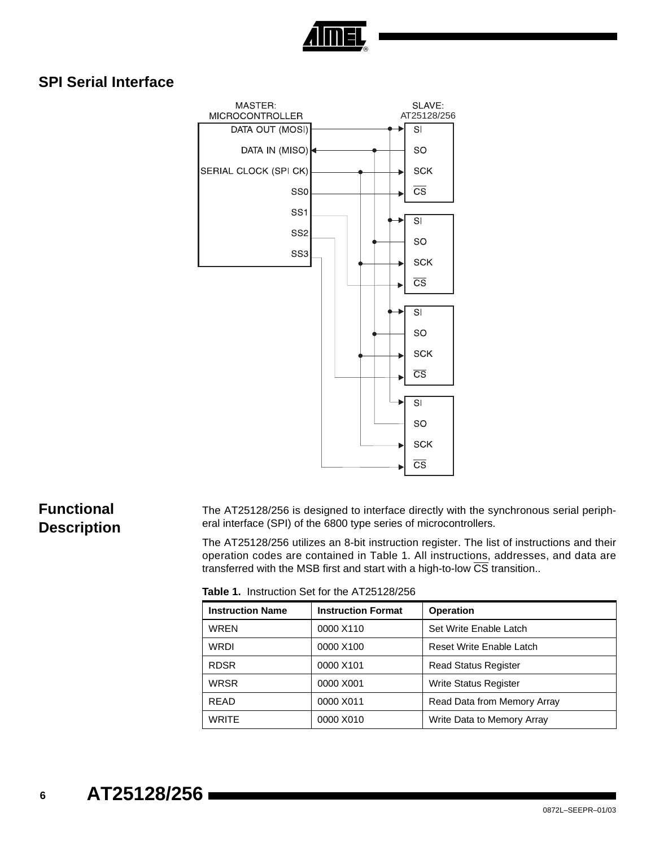

### **SPI Serial Interface**



### **Functional Description**

The AT25128/256 is designed to interface directly with the synchronous serial peripheral interface (SPI) of the 6800 type series of microcontrollers.

The AT25128/256 utilizes an 8-bit instruction register. The list of instructions and their operation codes are contained in Table 1. All instructions, addresses, and data are transferred with the MSB first and start with a high-to-low CS transition..

**Table 1.** Instruction Set for the AT25128/256

| <b>Instruction Name</b> | <b>Instruction Format</b> | <b>Operation</b>             |
|-------------------------|---------------------------|------------------------------|
| <b>WREN</b>             | 0000 X110                 | Set Write Enable Latch       |
| <b>WRDI</b>             | 0000 X100                 | Reset Write Enable Latch     |
| <b>RDSR</b>             | 0000 X101                 | <b>Read Status Register</b>  |
| <b>WRSR</b>             | 0000 X001                 | <b>Write Status Register</b> |
| <b>READ</b>             | 0000 X011                 | Read Data from Memory Array  |
| <b>WRITE</b>            | 0000 X010                 | Write Data to Memory Array   |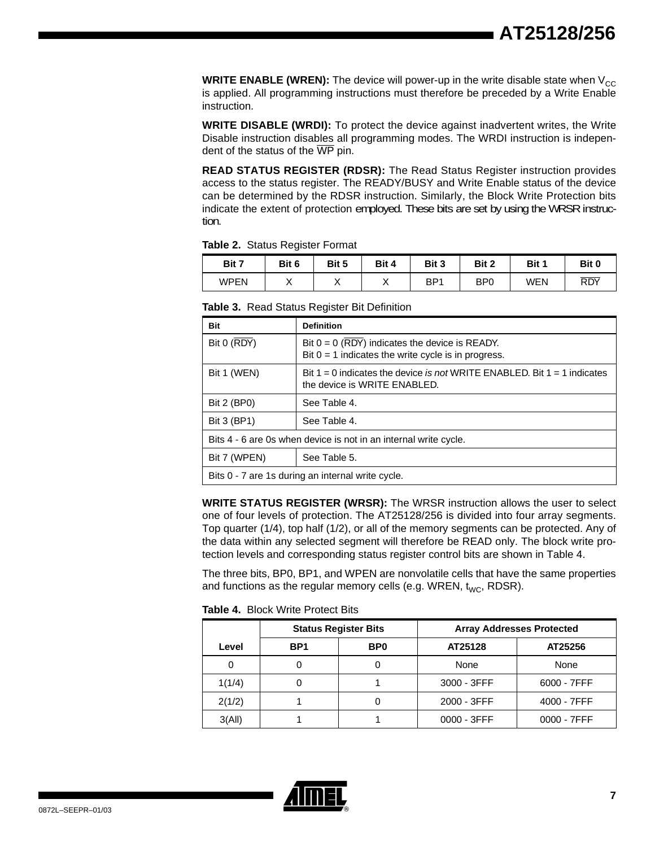**WRITE ENABLE (WREN):** The device will power-up in the write disable state when  $V_{CC}$ is applied. All programming instructions must therefore be preceded by a Write Enable instruction.

**WRITE DISABLE (WRDI):** To protect the device against inadvertent writes, the Write Disable instruction disables all programming modes. The WRDI instruction is independent of the status of the  $\overline{\text{WP}}$  pin.

**READ STATUS REGISTER (RDSR):** The Read Status Register instruction provides access to the status register. The READY/BUSY and Write Enable status of the device can be determined by the RDSR instruction. Similarly, the Block Write Protection bits indicate the extent of protection employed. These bits are set by using the WRSR instruction.

**Table 2.** Status Register Format

| Bit 7 | Bit 6 | Bit 5 | Bit 4 | Bit 3 | Bit 2           | Bit 1 | Bit 0 |
|-------|-------|-------|-------|-------|-----------------|-------|-------|
| WPEN  | ,     | ,,    | . .   | BP1   | B <sub>P0</sub> | WEN   | RDY   |

| Bit           | <b>Definition</b>                                                                                            |
|---------------|--------------------------------------------------------------------------------------------------------------|
| Bit $0$ (RDY) | Bit $0 = 0$ (RDY) indicates the device is READY.<br>Bit $0 = 1$ indicates the write cycle is in progress.    |
| Bit 1 (WEN)   | Bit $1 = 0$ indicates the device is not WRITE ENABLED. Bit $1 = 1$ indicates<br>the device is WRITE ENABLED. |
| Bit 2 (BP0)   | See Table 4.                                                                                                 |
| Bit 3 (BP1)   | See Table 4.                                                                                                 |
|               | Bits 4 - 6 are 0s when device is not in an internal write cycle.                                             |
| Bit 7 (WPEN)  | See Table 5.                                                                                                 |
|               | Bits 0 - 7 are 1s during an internal write cycle.                                                            |

**Table 3.** Read Status Register Bit Definition

**WRITE STATUS REGISTER (WRSR):** The WRSR instruction allows the user to select one of four levels of protection. The AT25128/256 is divided into four array segments. Top quarter (1/4), top half (1/2), or all of the memory segments can be protected. Any of the data within any selected segment will therefore be READ only. The block write protection levels and corresponding status register control bits are shown in [Table 4.](#page-6-0)

The three bits, BP0, BP1, and WPEN are nonvolatile cells that have the same properties and functions as the regular memory cells (e.g. WREN,  $t_{WC}$ , RDSR).

|        | <b>Status Register Bits</b> |                 | <b>Array Addresses Protected</b> |                |
|--------|-----------------------------|-----------------|----------------------------------|----------------|
| Level  | BP <sub>1</sub>             | BP <sub>0</sub> | AT25128                          | AT25256        |
| 0      |                             |                 | None                             | None           |
| 1(1/4) |                             |                 | 3000 - 3FFF                      | $6000 - 7$ FFF |
| 2(1/2) |                             |                 | 2000 - 3FFF                      | 4000 - 7FFF    |
| 3(AII) |                             |                 | $0000 - 3$ FFF                   | $0000 - 7$ FFF |

<span id="page-6-0"></span>**Table 4.** Block Write Protect Bits

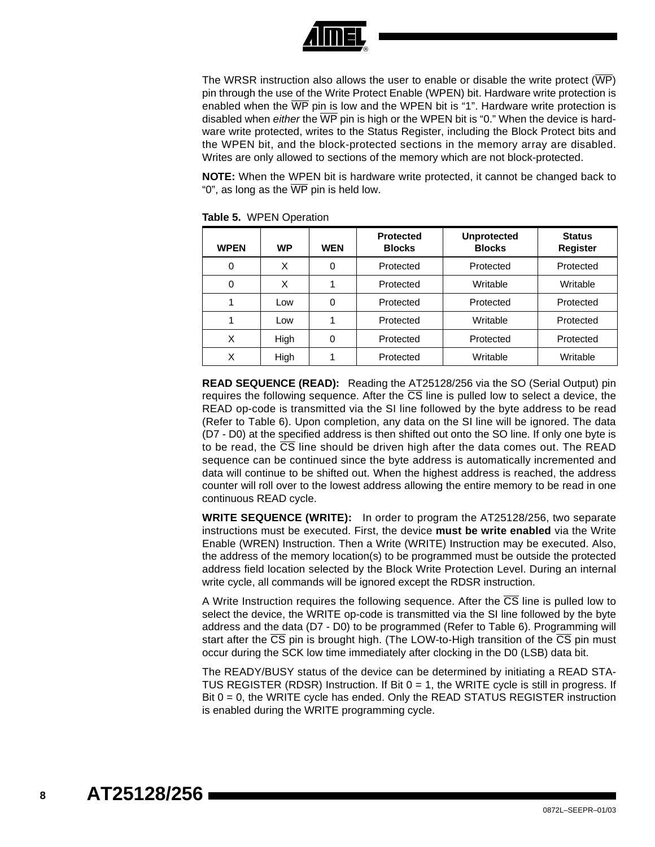

The WRSR instruction also allows the user to enable or disable the write protect (WP) pin through the use of the Write Protect Enable (WPEN) bit. Hardware write protection is enabled when the  $\overline{\text{WP}}$  pin is low and the WPEN bit is "1". Hardware write protection is disabled when either the  $\overline{WP}$  pin is high or the WPEN bit is "0." When the device is hardware write protected, writes to the Status Register, including the Block Protect bits and the WPEN bit, and the block-protected sections in the memory array are disabled. Writes are only allowed to sections of the memory which are not block-protected.

**NOTE:** When the WPEN bit is hardware write protected, it cannot be changed back to "0", as long as the  $\overline{\text{WP}}$  pin is held low.

| <b>WPEN</b> | <b>WP</b> | <b>WEN</b> | <b>Protected</b><br><b>Blocks</b> | <b>Unprotected</b><br><b>Blocks</b> | <b>Status</b><br><b>Register</b> |
|-------------|-----------|------------|-----------------------------------|-------------------------------------|----------------------------------|
| 0           | X         | 0          | Protected                         | Protected                           | Protected                        |
| 0           | X         |            | Protected                         | Writable                            | Writable                         |
|             | Low       | 0          | Protected                         | Protected                           | Protected                        |
|             | Low       |            | Protected                         | Writable                            | Protected                        |
| X           | High      | 0          | Protected                         | Protected                           | Protected                        |
| X           | High      |            | Protected                         | Writable                            | Writable                         |

<span id="page-7-0"></span>**Table 5.** WPEN Operation

**READ SEQUENCE (READ):** Reading the AT25128/256 via the SO (Serial Output) pin requires the following sequence. After the  $\overline{\text{CS}}$  line is pulled low to select a device, the READ op-code is transmitted via the SI line followed by the byte address to be read (Refer to [Table 6](#page-8-0)). Upon completion, any data on the SI line will be ignored. The data (D7 - D0) at the specified address is then shifted out onto the SO line. If only one byte is to be read, the  $\overline{\text{CS}}$  line should be driven high after the data comes out. The READ sequence can be continued since the byte address is automatically incremented and data will continue to be shifted out. When the highest address is reached, the address counter will roll over to the lowest address allowing the entire memory to be read in one continuous READ cycle.

**WRITE SEQUENCE (WRITE):** In order to program the AT25128/256, two separate instructions must be executed. First, the device **must be write enabled** via the Write Enable (WREN) Instruction. Then a Write (WRITE) Instruction may be executed. Also, the address of the memory location(s) to be programmed must be outside the protected address field location selected by the Block Write Protection Level. During an internal write cycle, all commands will be ignored except the RDSR instruction.

A Write Instruction requires the following sequence. After the  $\overline{CS}$  line is pulled low to select the device, the WRITE op-code is transmitted via the SI line followed by the byte address and the data (D7 - D0) to be programmed (Refer to [Table 6](#page-8-0)). Programming will start after the  $\overline{CS}$  pin is brought high. (The LOW-to-High transition of the  $\overline{CS}$  pin must occur during the SCK low time immediately after clocking in the D0 (LSB) data bit.

The READY/BUSY status of the device can be determined by initiating a READ STA-TUS REGISTER (RDSR) Instruction. If Bit  $0 = 1$ , the WRITE cycle is still in progress. If Bit 0 = 0, the WRITE cycle has ended. Only the READ STATUS REGISTER instruction is enabled during the WRITE programming cycle.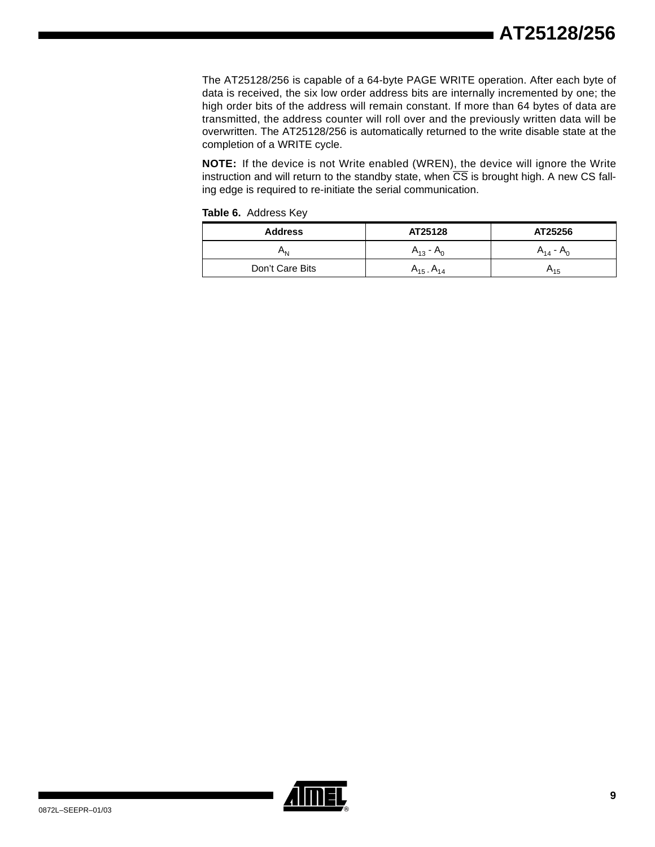The AT25128/256 is capable of a 64-byte PAGE WRITE operation. After each byte of data is received, the six low order address bits are internally incremented by one; the high order bits of the address will remain constant. If more than 64 bytes of data are transmitted, the address counter will roll over and the previously written data will be overwritten. The AT25128/256 is automatically returned to the write disable state at the completion of a WRITE cycle.

**NOTE:** If the device is not Write enabled (WREN), the device will ignore the Write instruction and will return to the standby state, when  $\overline{CS}$  is brought high. A new CS falling edge is required to re-initiate the serial communication.

<span id="page-8-0"></span>

|  |  | Table 6. Address Key |  |
|--|--|----------------------|--|
|--|--|----------------------|--|

| <b>Address</b>  | AT25128           | AT25256        |
|-----------------|-------------------|----------------|
| וחי             | $A_{13} - A_0$    | $A_{14} - A_0$ |
| Don't Care Bits | $A_{15}$ $A_{14}$ | л15            |

|   | Ш |  |
|---|---|--|
| L |   |  |
|   |   |  |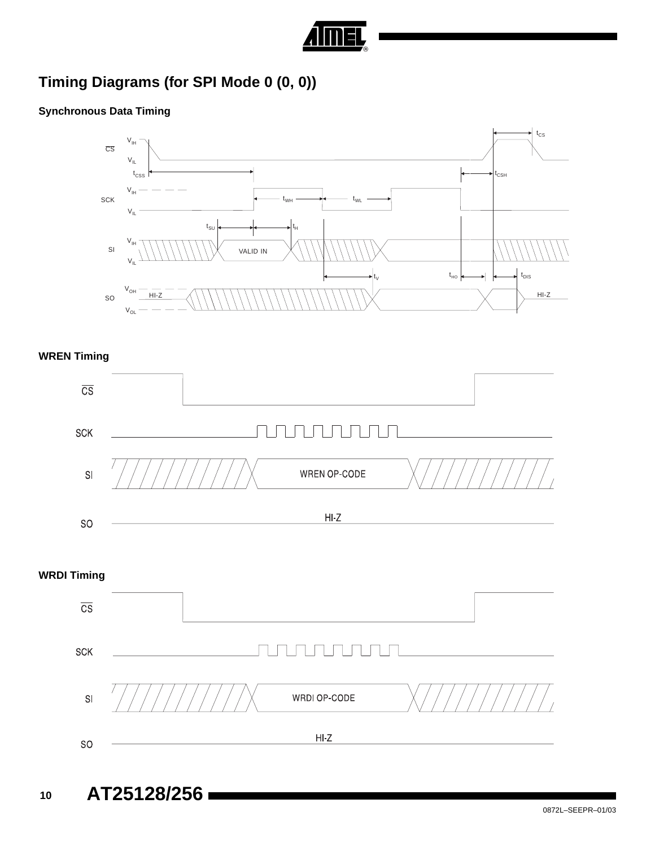

# **Timing Diagrams (for SPI Mode 0 (0, 0))**

### **Synchronous Data Timing**



### **WREN Timing**



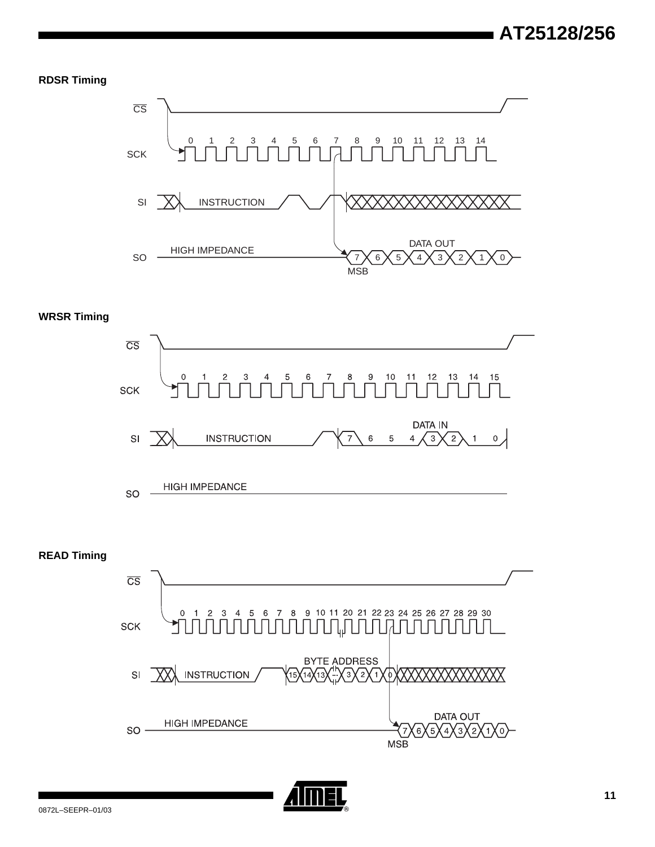#### **RDSR Timing**



### **WRSR Timing**





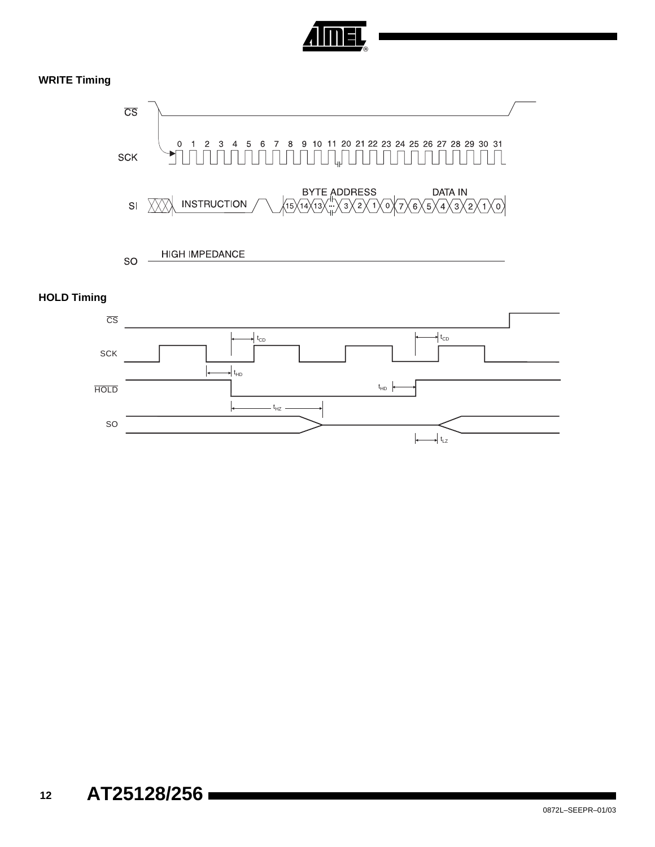

### **WRITE Timing**



#### **HOLD Timing**

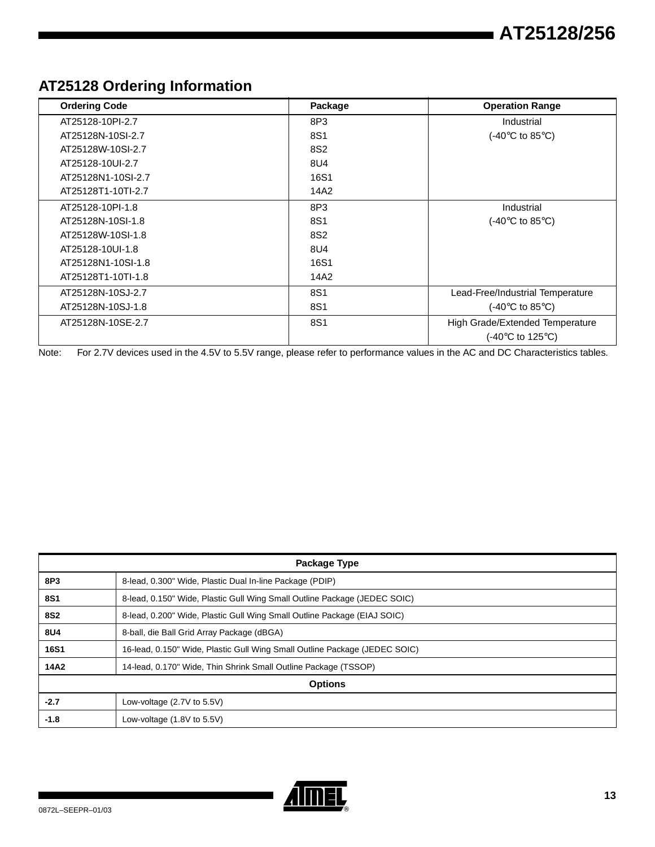# **AT25128 Ordering Information**

| <b>Ordering Code</b> | Package         | <b>Operation Range</b>              |
|----------------------|-----------------|-------------------------------------|
| AT25128-10PI-2.7     | 8P3             | Industrial                          |
| AT25128N-10SI-2.7    | 8S1             | (-40 $\degree$ C to 85 $\degree$ C) |
| AT25128W-10SI-2.7    | 8S <sub>2</sub> |                                     |
| AT25128-10UI-2.7     | 8U4             |                                     |
| AT25128N1-10SI-2.7   | 16S1            |                                     |
| AT25128T1-10TI-2.7   | 14A2            |                                     |
| AT25128-10PI-1.8     | 8P3             | Industrial                          |
| AT25128N-10SI-1.8    | 8S1             | (-40 $\degree$ C to 85 $\degree$ C) |
| AT25128W-10SI-1.8    | 8S <sub>2</sub> |                                     |
| AT25128-10UI-1.8     | 8U4             |                                     |
| AT25128N1-10SI-1.8   | 16S1            |                                     |
| AT25128T1-10TI-1.8   | 14A2            |                                     |
| AT25128N-10SJ-2.7    | 8S1             | Lead-Free/Industrial Temperature    |
| AT25128N-10SJ-1.8    | 8S1             | (-40 $\degree$ C to 85 $\degree$ C) |
| AT25128N-10SE-2.7    | 8S1             | High Grade/Extended Temperature     |
|                      |                 | (-40°C to 125°C)                    |

Note: For 2.7V devices used in the 4.5V to 5.5V range, please refer to performance values in the AC and DC Characteristics tables.

| Package Type   |                                                                            |  |
|----------------|----------------------------------------------------------------------------|--|
| 8P3            | 8-lead, 0.300" Wide, Plastic Dual In-line Package (PDIP)                   |  |
| <b>8S1</b>     | 8-lead, 0.150" Wide, Plastic Gull Wing Small Outline Package (JEDEC SOIC)  |  |
| <b>8S2</b>     | 8-lead, 0.200" Wide, Plastic Gull Wing Small Outline Package (EIAJ SOIC)   |  |
| 8U4            | 8-ball, die Ball Grid Array Package (dBGA)                                 |  |
| <b>16S1</b>    | 16-lead, 0.150" Wide, Plastic Gull Wing Small Outline Package (JEDEC SOIC) |  |
| 14A2           | 14-lead, 0.170" Wide, Thin Shrink Small Outline Package (TSSOP)            |  |
| <b>Options</b> |                                                                            |  |
| $-2.7$         | Low-voltage $(2.7V)$ to $5.5V$                                             |  |
| $-1.8$         | Low-voltage $(1.8V)$ to $5.5V$                                             |  |

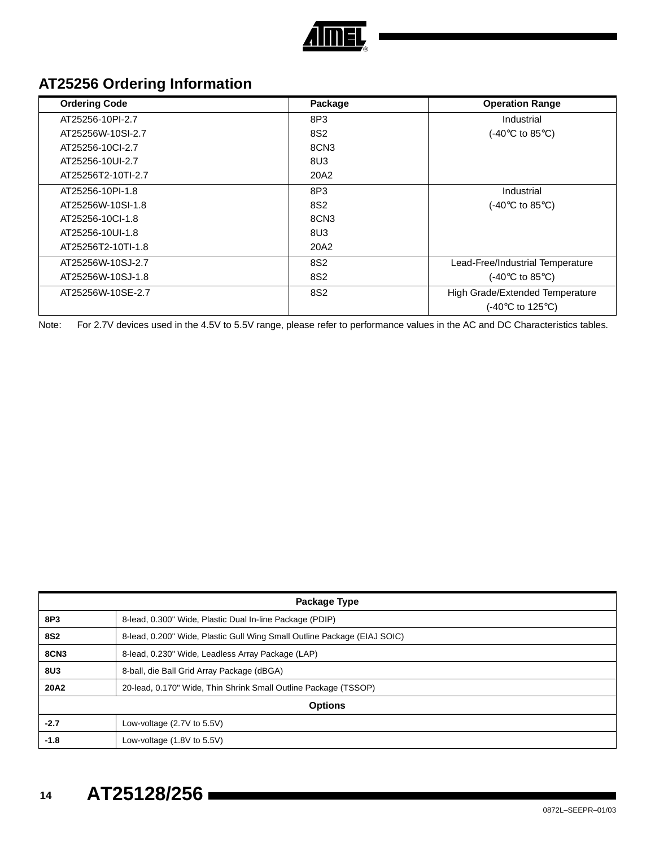

# **AT25256 Ordering Information**

| <b>Ordering Code</b> | Package          | <b>Operation Range</b>                   |
|----------------------|------------------|------------------------------------------|
| AT25256-10PI-2.7     | 8P3              | Industrial                               |
| AT25256W-10SI-2.7    | 8S <sub>2</sub>  | $(-40^{\circ}C \text{ to } 85^{\circ}C)$ |
| AT25256-10Cl-2.7     | 8CN <sub>3</sub> |                                          |
| AT25256-10UI-2.7     | 8U3              |                                          |
| AT25256T2-10TI-2.7   | 20A2             |                                          |
| AT25256-10PI-1.8     | 8P3              | Industrial                               |
| AT25256W-10SI-1.8    | 8S <sub>2</sub>  | $(-40^{\circ}C \text{ to } 85^{\circ}C)$ |
| AT25256-10Cl-1.8     | 8CN <sub>3</sub> |                                          |
| AT25256-10UI-1.8     | 8U3              |                                          |
| AT25256T2-10TI-1.8   | 20A2             |                                          |
| AT25256W-10SJ-2.7    | 8S <sub>2</sub>  | Lead-Free/Industrial Temperature         |
| AT25256W-10SJ-1.8    | 8S <sub>2</sub>  | (-40 $\degree$ C to 85 $\degree$ C)      |
| AT25256W-10SE-2.7    | 8S <sub>2</sub>  | High Grade/Extended Temperature          |
|                      |                  | $(-40^{\circ}C$ to 125 $^{\circ}C$ )     |

Note: For 2.7V devices used in the 4.5V to 5.5V range, please refer to performance values in the AC and DC Characteristics tables.

| Package Type   |                                                                          |  |
|----------------|--------------------------------------------------------------------------|--|
| 8P3            | 8-lead, 0.300" Wide, Plastic Dual In-line Package (PDIP)                 |  |
| <b>8S2</b>     | 8-lead, 0.200" Wide, Plastic Gull Wing Small Outline Package (EIAJ SOIC) |  |
| <b>8CN3</b>    | 8-lead, 0.230" Wide, Leadless Array Package (LAP)                        |  |
| 8U3            | 8-ball, die Ball Grid Array Package (dBGA)                               |  |
| <b>20A2</b>    | 20-lead, 0.170" Wide, Thin Shrink Small Outline Package (TSSOP)          |  |
| <b>Options</b> |                                                                          |  |
| $-2.7$         | Low-voltage $(2.7V)$ to 5.5V)                                            |  |
| $-1.8$         | Low-voltage $(1.8V)$ to $5.5V$                                           |  |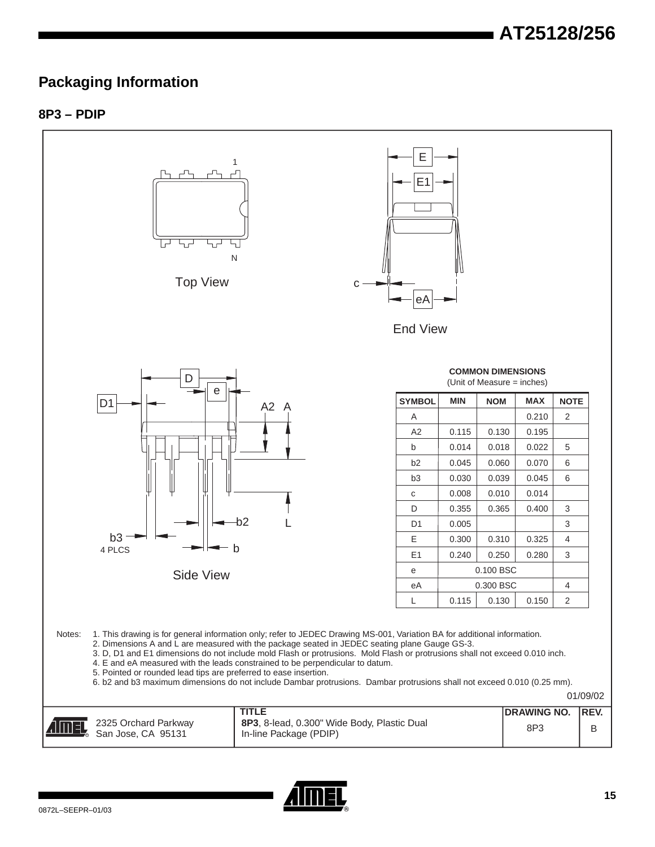### **Packaging Information**

### **8P3 – PDIP**



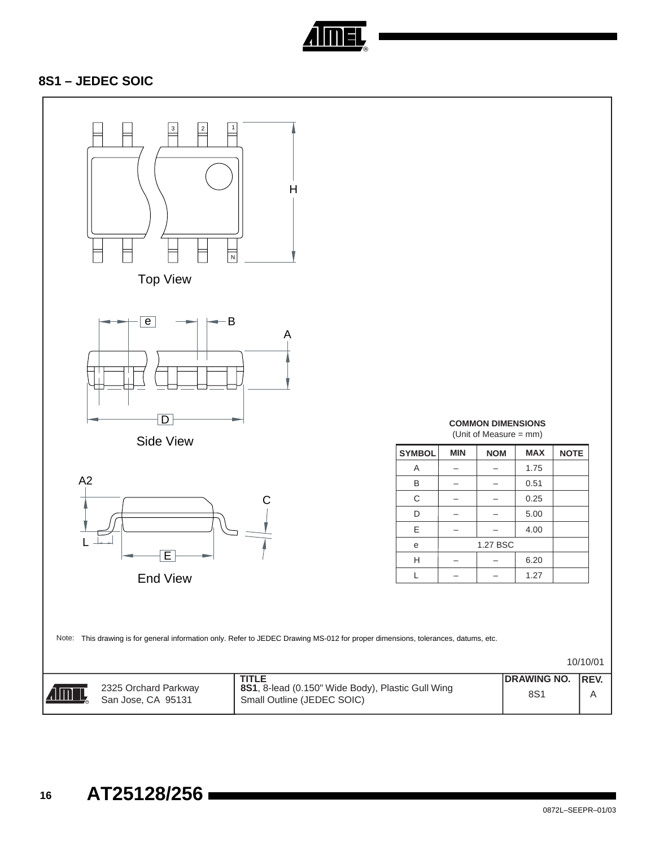

### **8S1 – JEDEC SOIC**

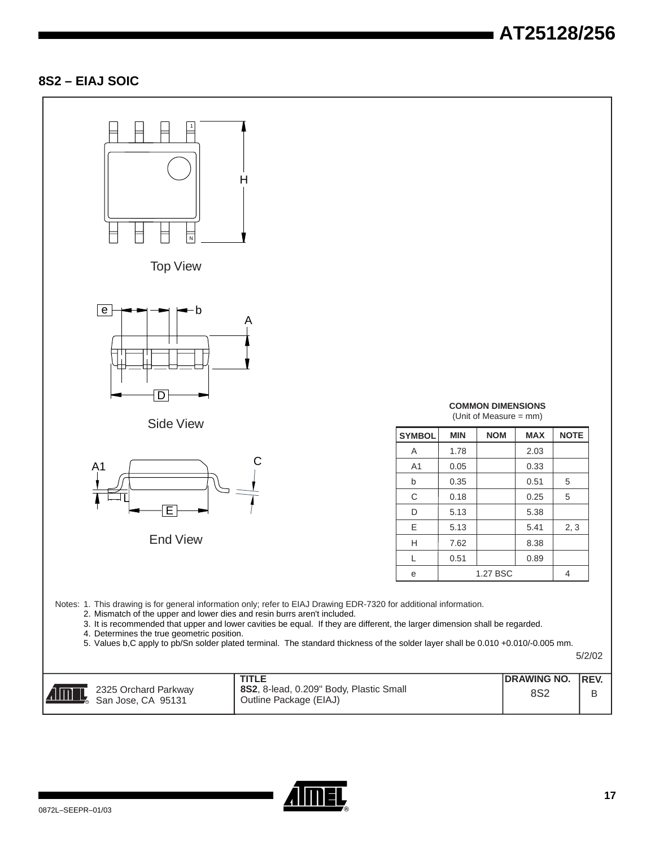# **AT25128/256**

### **8S2 – EIAJ SOIC**



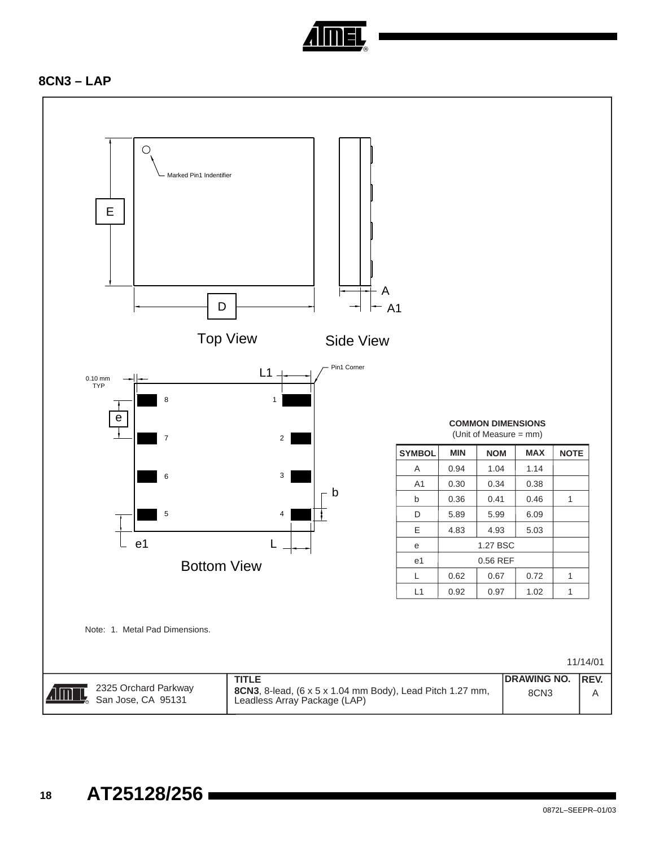

### **8CN3 – LAP**

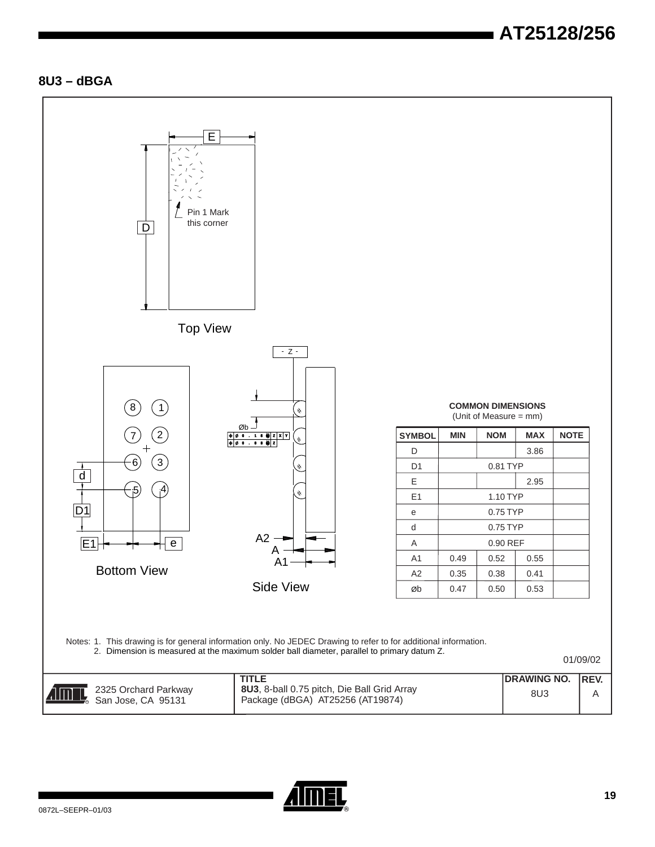# **AT25128/256**

### **8U3 – dBGA**



|                                                             | TITLE                                                                           | <b>IDRAWING NO. IREV.</b> |  |
|-------------------------------------------------------------|---------------------------------------------------------------------------------|---------------------------|--|
| 2325 Orchard Parkway<br><b>AIMEL,</b><br>San Jose, CA 95131 | 8U3, 8-ball 0.75 pitch, Die Ball Grid Array<br>Package (dBGA) AT25256 (AT19874) | 8U3                       |  |

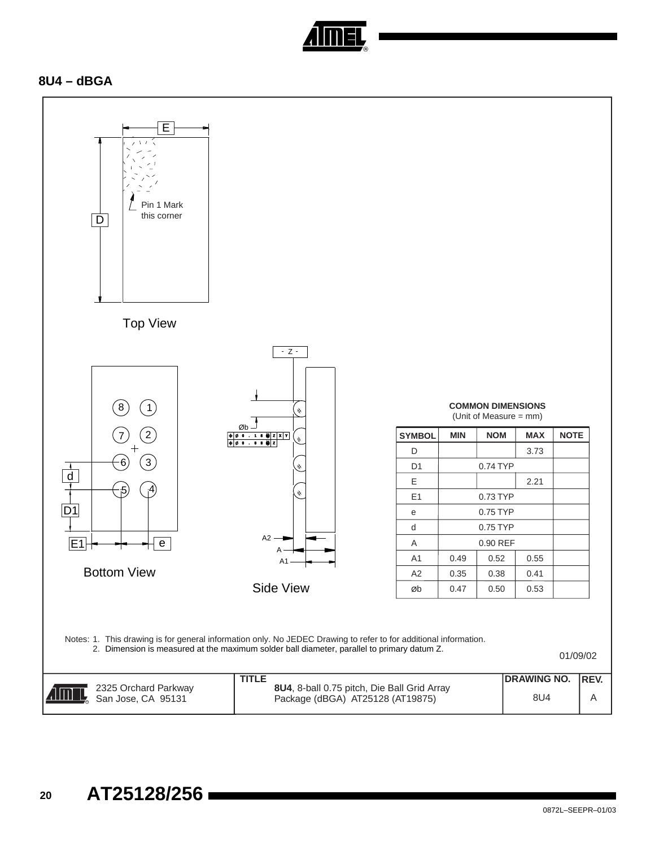

### **8U4 – dBGA**

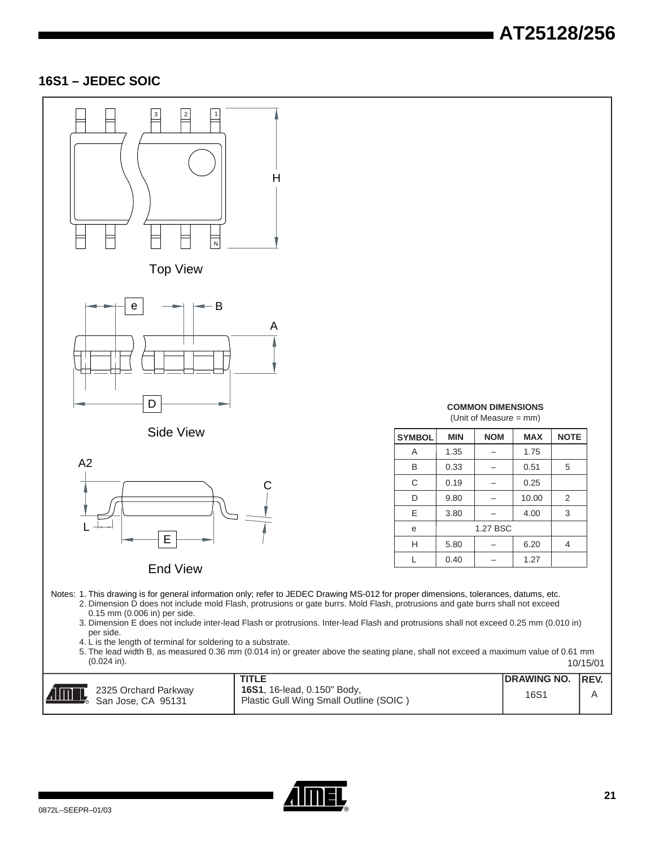# **AT25128/256**

### **16S1 – JEDEC SOIC**



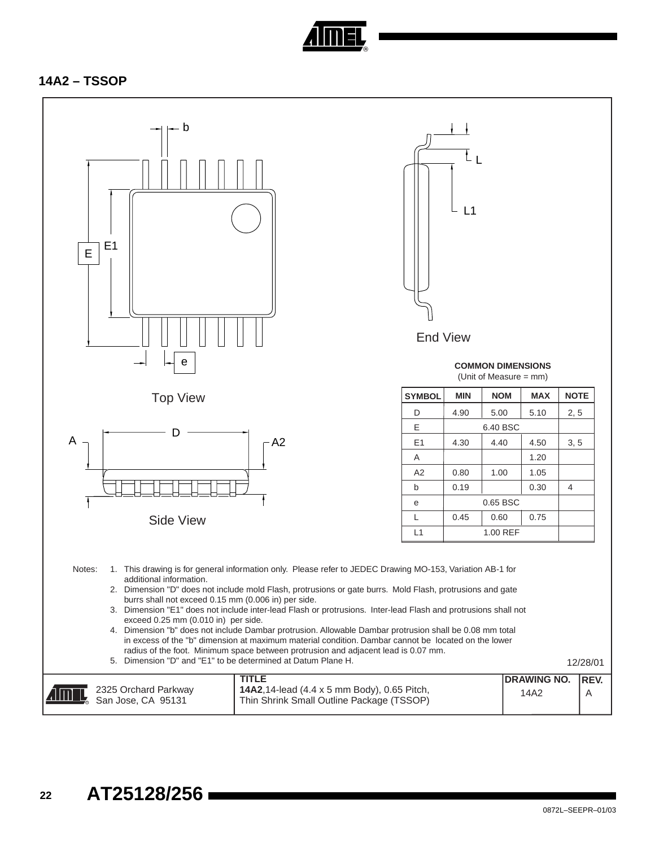

### **14A2 – TSSOP**

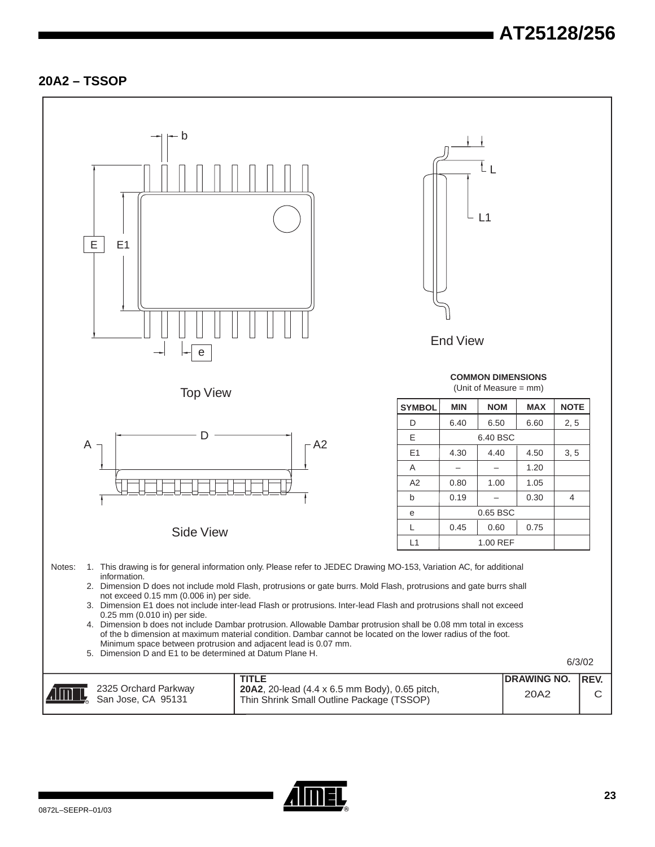### **20A2 – TSSOP**